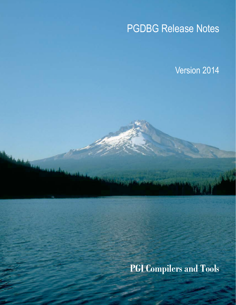# PGDBG Release Notes

Version 2014

**PGI Compilers and Tools**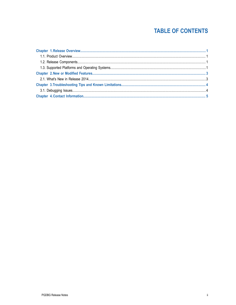### **TABLE OF CONTENTS**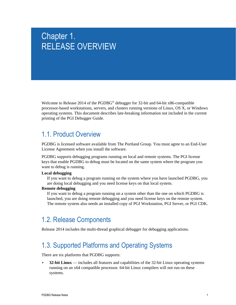## <span id="page-2-0"></span>Chapter 1. RELEASE OVERVIEW

Welcome to Release 2014 of the PGDBG<sup>®</sup> debugger for 32-bit and 64-bit x86-compatible processor-based workstations, servers, and clusters running versions of Linux, OS X, or Windows operating systems. This document describes late-breaking information not included in the current printing of the PGI Debugger Guide.

### <span id="page-2-1"></span>1.1. Product Overview

PGDBG is licensed software available from The Portland Group. You must agree to an End-User License Agreement when you install the software.

PGDBG supports debugging programs running on local and remote systems. The PGI license keys that enable PGDBG to debug must be located on the same system where the program you want to debug is running.

#### **Local debugging**

If you want to debug a program running on the system where you have launched PGDBG, you are doing local debugging and you need license keys on that local system.

#### **Remote debugging**

If you want to debug a program running on a system other than the one on which PGDBG is launched, you are doing remote debugging and you need license keys on the remote system. The remote system also needs an installed copy of PGI Workstation, PGI Server, or PGI CDK.

### <span id="page-2-2"></span>1.2. Release Components

Release 2014 includes the multi-thread graphical debugger for debugging applications.

## <span id="page-2-3"></span>1.3. Supported Platforms and Operating Systems

There are six platforms that PGDBG supports:

**‣ 32-bit Linux** — includes all features and capabilities of the 32-bit Linux operating systems running on an x64 compatible processor. 64-bit Linux compilers will not run on these systems.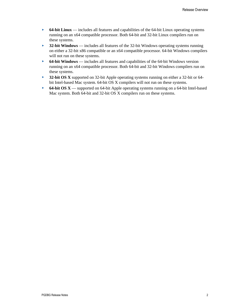- **‣ 64-bit Linux** includes all features and capabilities of the 64-bit Linux operating systems running on an x64 compatible processor. Both 64-bit and 32-bit Linux compilers run on these systems.
- **‣ 32-bit Windows** includes all features of the 32-bit Windows operating systems running on either a 32-bit x86 compatible or an x64 compatible processor. 64-bit Windows compilers will not run on these systems.
- **‣ 64-bit Windows** includes all features and capabilities of the 64-bit Windows version running on an x64 compatible processor. Both 64-bit and 32-bit Windows compilers run on these systems.
- **‣ 32-bit OS X** supported on 32-bit Apple operating systems running on either a 32-bit or 64 bit Intel-based Mac system. 64-bit OS X compilers will not run on these systems.
- **‣ 64-bit OS X** supported on 64-bit Apple operating systems running on a 64-bit Intel-based Mac system. Both 64-bit and 32-bit OS X compilers run on these systems.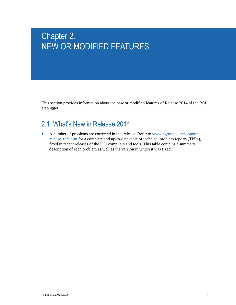## <span id="page-4-0"></span>Chapter 2. NEW OR MODIFIED FEATURES

This section provides information about the new or modified features of Release 2014 of the PGI Debugger.

## <span id="page-4-1"></span>2.1. What's New in Release 2014

**‣** A number of problems are corrected in this release. Refer to [www.pgroup.com/support/](www.pgroup.com/support/release_tprs.htm) [release\\_tprs.htm](www.pgroup.com/support/release_tprs.htm) for a complete and up-to-date table of technical problem reports (TPRs), fixed in recent releases of the PGI compilers and tools. This table contains a summary description of each problem as well as the version in which it was fixed.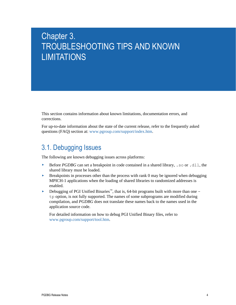## <span id="page-5-0"></span>Chapter 3. TROUBLESHOOTING TIPS AND KNOWN **LIMITATIONS**

This section contains information about known limitations, documentation errors, and corrections.

For up-to-date information about the state of the current release, refer to the frequently asked questions (FAQ) section at: [www.pgroup.com/support/index.htm.](www.pgroup.com/support/index.htm)

### <span id="page-5-1"></span>3.1. Debugging Issues

The following are known debugging issues across platforms:

- **‣** Before *PGDBG* can set a breakpoint in code contained in a shared library, .so or .dll, the shared library must be loaded.
- **Example 1** Breakpoints in processes other than the process with rank 0 may be ignored when debugging MPICH-1 applications when the loading of shared libraries to randomized addresses is enabled.
- **‣** Debugging of PGI Unified Binaries™, that is, 64-bit programs built with more than one tp option, is not fully supported. The names of some subprograms are modified during compilation, and *PGDBG* does not translate these names back to the names used in the application source code.

For detailed information on how to debug PGI Unified Binary files, refer to [www.pgroup.com/support/tool.htm.](www.pgroup.com/support/tool.htm)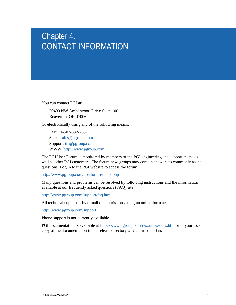## <span id="page-6-0"></span>Chapter 4. CONTACT INFORMATION

You can contact PGI at:

20400 NW Amberwood Drive Suite 100 Beaverton, OR 97006

Or electronically using any of the following means:

Fax: +1-503-682-2637 Sales: [sales@pgroup.com](mailto: sales@pgroup.com) Support: [trs@pgroup.com](mailto: trs@pgroup.com) WWW: <http://www.pgroup.com>

The PGI User Forum is monitored by members of the PGI engineering and support teams as well as other PGI customers. The forum newsgroups may contain answers to commonly asked questions. Log in to the PGI website to access the forum:

<http://www.pgroup.com/userforum/index.php>

Many questions and problems can be resolved by following instructions and the information available at our frequently asked questions (FAQ) site:

<http://www.pgroup.com/support/faq.htm>

All technical support is by e-mail or submissions using an online form at:

<http://www.pgroup.com/support>

Phone support is not currently available.

PGI documentation is available at <http://www.pgroup.com/resources/docs.htm> or in your local copy of the documentation in the release directory doc/index.htm.